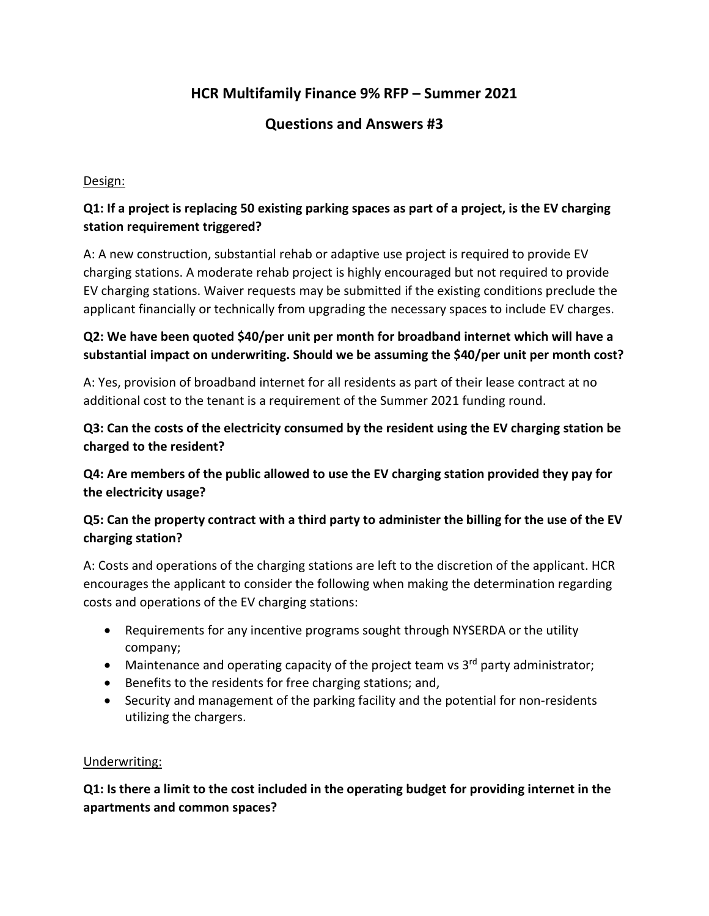# **HCR Multifamily Finance 9% RFP – Summer 2021**

# **Questions and Answers #3**

#### Design:

## **Q1: If a project is replacing 50 existing parking spaces as part of a project, is the EV charging station requirement triggered?**

A: A new construction, substantial rehab or adaptive use project is required to provide EV charging stations. A moderate rehab project is highly encouraged but not required to provide EV charging stations. Waiver requests may be submitted if the existing conditions preclude the applicant financially or technically from upgrading the necessary spaces to include EV charges.

## **Q2: We have been quoted \$40/per unit per month for broadband internet which will have a substantial impact on underwriting. Should we be assuming the \$40/per unit per month cost?**

A: Yes, provision of broadband internet for all residents as part of their lease contract at no additional cost to the tenant is a requirement of the Summer 2021 funding round.

## **Q3: Can the costs of the electricity consumed by the resident using the EV charging station be charged to the resident?**

**Q4: Are members of the public allowed to use the EV charging station provided they pay for the electricity usage?**

## **Q5: Can the property contract with a third party to administer the billing for the use of the EV charging station?**

A: Costs and operations of the charging stations are left to the discretion of the applicant. HCR encourages the applicant to consider the following when making the determination regarding costs and operations of the EV charging stations:

- Requirements for any incentive programs sought through NYSERDA or the utility company;
- Maintenance and operating capacity of the project team vs  $3<sup>rd</sup>$  party administrator;
- Benefits to the residents for free charging stations; and,
- Security and management of the parking facility and the potential for non-residents utilizing the chargers.

#### Underwriting:

**Q1: Is there a limit to the cost included in the operating budget for providing internet in the apartments and common spaces?**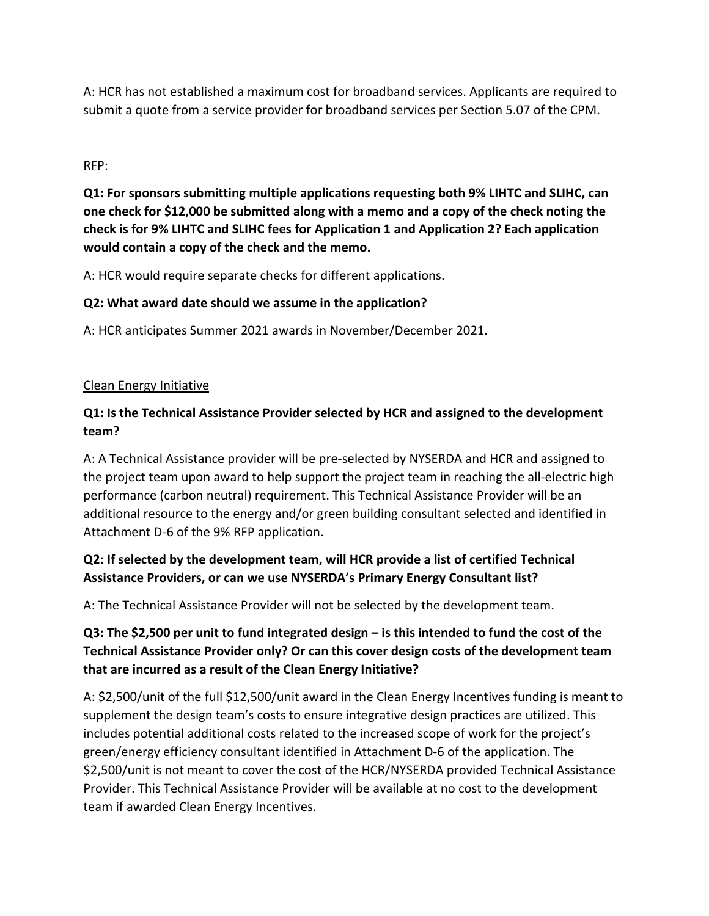A: HCR has not established a maximum cost for broadband services. Applicants are required to submit a quote from a service provider for broadband services per Section 5.07 of the CPM.

## RFP:

**Q1: For sponsors submitting multiple applications requesting both 9% LIHTC and SLIHC, can one check for \$12,000 be submitted along with a memo and a copy of the check noting the check is for 9% LIHTC and SLIHC fees for Application 1 and Application 2? Each application would contain a copy of the check and the memo.** 

A: HCR would require separate checks for different applications.

#### **Q2: What award date should we assume in the application?**

A: HCR anticipates Summer 2021 awards in November/December 2021.

#### Clean Energy Initiative

# **Q1: Is the Technical Assistance Provider selected by HCR and assigned to the development team?**

A: A Technical Assistance provider will be pre-selected by NYSERDA and HCR and assigned to the project team upon award to help support the project team in reaching the all-electric high performance (carbon neutral) requirement. This Technical Assistance Provider will be an additional resource to the energy and/or green building consultant selected and identified in Attachment D-6 of the 9% RFP application.

## **Q2: If selected by the development team, will HCR provide a list of certified Technical Assistance Providers, or can we use NYSERDA's Primary Energy Consultant list?**

A: The Technical Assistance Provider will not be selected by the development team.

# **Q3: The \$2,500 per unit to fund integrated design – is this intended to fund the cost of the Technical Assistance Provider only? Or can this cover design costs of the development team that are incurred as a result of the Clean Energy Initiative?**

A: \$2,500/unit of the full \$12,500/unit award in the Clean Energy Incentives funding is meant to supplement the design team's costs to ensure integrative design practices are utilized. This includes potential additional costs related to the increased scope of work for the project's green/energy efficiency consultant identified in Attachment D-6 of the application. The \$2,500/unit is not meant to cover the cost of the HCR/NYSERDA provided Technical Assistance Provider. This Technical Assistance Provider will be available at no cost to the development team if awarded Clean Energy Incentives.